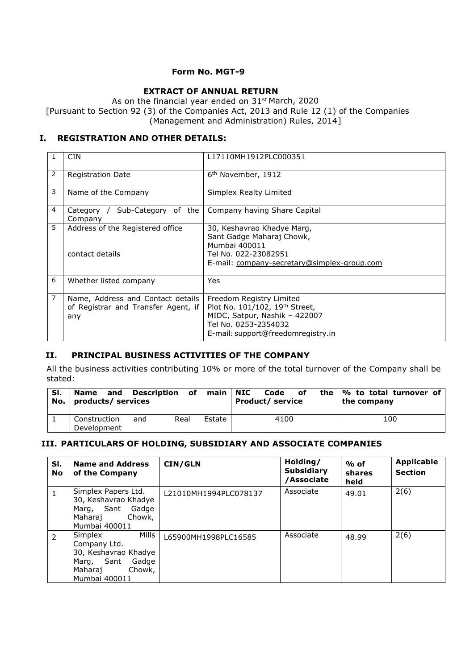### **Form No. MGT-9**

# **EXTRACT OF ANNUAL RETURN**

As on the financial year ended on 31<sup>st</sup> March, 2020 [Pursuant to Section 92 (3) of the Companies Act, 2013 and Rule 12 (1) of the Companies (Management and Administration) Rules, 2014]

# **I. REGISTRATION AND OTHER DETAILS:**

|                | <b>CIN</b>                                                                      | L17110MH1912PLC000351                                                                                                                                     |
|----------------|---------------------------------------------------------------------------------|-----------------------------------------------------------------------------------------------------------------------------------------------------------|
| $\overline{2}$ | <b>Registration Date</b>                                                        | 6 <sup>th</sup> November, 1912                                                                                                                            |
| 3              | Name of the Company                                                             | Simplex Realty Limited                                                                                                                                    |
| 4              | Category / Sub-Category of the<br>Company                                       | Company having Share Capital                                                                                                                              |
| 5              | Address of the Registered office<br>contact details                             | 30, Keshavrao Khadye Marg,<br>Sant Gadge Maharaj Chowk,<br>Mumbai 400011<br>Tel No. 022-23082951<br>E-mail: company-secretary@simplex-group.com           |
| 6              | Whether listed company                                                          | Yes                                                                                                                                                       |
| $\overline{7}$ | Name, Address and Contact details<br>of Registrar and Transfer Agent, if<br>any | Freedom Registry Limited<br>Plot No. 101/102, 19th Street,<br>MIDC, Satpur, Nashik - 422007<br>Tel No. 0253-2354032<br>E-mail: support@freedomregistry.in |

### **II. PRINCIPAL BUSINESS ACTIVITIES OF THE COMPANY**

All the business activities contributing 10% or more of the total turnover of the Company shall be stated:

| SI. | Name and Description of main NIC<br>No. $ $ products/ services |     |      |        | Code<br><b>Product/ service</b> | of | the $\frac{1}{2}$ to total turnover of<br>the company |  |
|-----|----------------------------------------------------------------|-----|------|--------|---------------------------------|----|-------------------------------------------------------|--|
|     | Construction<br>Development                                    | and | Real | Estate | 4100                            |    | 100                                                   |  |

# **III. PARTICULARS OF HOLDING, SUBSIDIARY AND ASSOCIATE COMPANIES**

| SI.<br>No     | <b>Name and Address</b><br>of the Company                                                                                | CIN/GLN               | Holding/<br><b>Subsidiary</b><br>/Associate | $%$ of<br>shares<br>held | <b>Applicable</b><br><b>Section</b> |
|---------------|--------------------------------------------------------------------------------------------------------------------------|-----------------------|---------------------------------------------|--------------------------|-------------------------------------|
|               | Simplex Papers Ltd.<br>30, Keshavrao Khadye<br>Marg, Sant Gadge<br>Chowk,<br>Maharai<br>Mumbai 400011                    | L21010MH1994PLC078137 | Associate                                   | 49.01                    | 2(6)                                |
| $\mathcal{P}$ | Mills<br>Simplex<br>Company Ltd.<br>30, Keshavrao Khadye<br>Sant<br>Marg,<br>Gadge<br>Chowk,<br>Maharaj<br>Mumbai 400011 | L65900MH1998PLC16585  | Associate                                   | 48.99                    | 2(6)                                |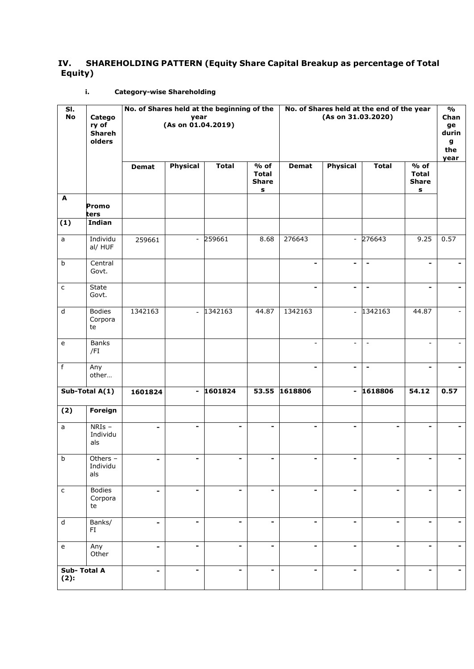# **IV. SHAREHOLDING PATTERN (Equity Share Capital Breakup as percentage of Total Equity)**

# **i. Category-wise Shareholding**

| SI.<br><b>No</b>                           | Catego<br>ry of<br><b>Shareh</b><br>olders | No. of Shares held at the beginning of the<br>year<br>(As on 01.04.2019) |                          |                          | No. of Shares held at the end of the year<br>(As on 31.03.2020) |                          | $\mathbf{O}/\mathbf{O}$<br>Chan<br>ge<br>durin<br>g<br>the<br>year |                          |                                                              |      |
|--------------------------------------------|--------------------------------------------|--------------------------------------------------------------------------|--------------------------|--------------------------|-----------------------------------------------------------------|--------------------------|--------------------------------------------------------------------|--------------------------|--------------------------------------------------------------|------|
|                                            |                                            | <b>Demat</b>                                                             | <b>Physical</b>          | <b>Total</b>             | $%$ of<br><b>Total</b><br><b>Share</b><br>s                     | <b>Demat</b>             | <b>Physical</b>                                                    | <b>Total</b>             | $\frac{1}{\sqrt{6}}$ of<br><b>Total</b><br><b>Share</b><br>s |      |
| A                                          | Promo<br>ters                              |                                                                          |                          |                          |                                                                 |                          |                                                                    |                          |                                                              |      |
| (1)                                        | Indian                                     |                                                                          |                          |                          |                                                                 |                          |                                                                    |                          |                                                              |      |
| a                                          | Individu<br>al/ HUF                        | 259661                                                                   |                          | $-259661$                | 8.68                                                            | 276643                   |                                                                    | $-276643$                | 9.25                                                         | 0.57 |
| $\mathsf b$                                | Central<br>Govt.                           |                                                                          |                          |                          |                                                                 | -                        | $\qquad \qquad \blacksquare$                                       | $\overline{\phantom{a}}$ | $\overline{\phantom{a}}$                                     |      |
| $\mathsf{c}$                               | State<br>Govt.                             |                                                                          |                          |                          |                                                                 | $\overline{\phantom{a}}$ | $\overline{\phantom{a}}$                                           | $\blacksquare$           | $\overline{\phantom{a}}$                                     |      |
| $\sf d$                                    | <b>Bodies</b><br>Corpora<br>te             | 1342163                                                                  | $\blacksquare$           | 1342163                  | 44.87                                                           | 1342163                  | $\bar{\mathcal{L}}$                                                | 1342163                  | 44.87                                                        |      |
| $\mathsf{e}% _{t}\left( t\right)$          | <b>Banks</b><br>/FI                        |                                                                          |                          |                          |                                                                 | $\overline{\phantom{a}}$ | $\overline{\phantom{a}}$                                           | $\overline{\phantom{a}}$ | $\overline{\phantom{a}}$                                     |      |
| $\mathsf f$                                | Any<br>other                               |                                                                          |                          |                          |                                                                 | $\overline{\phantom{a}}$ | $\qquad \qquad \blacksquare$                                       | $\blacksquare$           | $\blacksquare$                                               |      |
|                                            | Sub-Total A(1)                             | 1601824                                                                  | $\overline{\phantom{a}}$ | 1601824                  | 53.55                                                           | 1618806                  | $\overline{\phantom{a}}$                                           | 1618806                  | 54.12                                                        | 0.57 |
| (2)                                        | Foreign                                    |                                                                          |                          |                          |                                                                 |                          |                                                                    |                          |                                                              |      |
| a                                          | $NRIs -$<br>Individu<br>als                | -                                                                        | $\blacksquare$           | -                        | $\blacksquare$                                                  | -                        | $\blacksquare$                                                     | -                        | -                                                            |      |
| $\overline{b}$                             | Others -<br>Individu<br>als                |                                                                          |                          |                          |                                                                 |                          |                                                                    |                          |                                                              |      |
| $\mathsf{C}$                               | <b>Bodies</b><br>Corpora<br>te             | $\blacksquare$                                                           | -                        | $\overline{\phantom{a}}$ | $\overline{\phantom{a}}$                                        | $\overline{\phantom{a}}$ | $\blacksquare$                                                     | $\overline{\phantom{a}}$ | $\overline{\phantom{a}}$                                     |      |
| $\sf d$                                    | Banks/<br>FI                               | $\overline{\phantom{a}}$                                                 | $\overline{\phantom{a}}$ | $\overline{\phantom{a}}$ | $\blacksquare$                                                  |                          | $\blacksquare$                                                     | $\blacksquare$           | $\overline{\phantom{a}}$                                     |      |
| $\mathsf{e}% _{0}\left( \mathsf{e}\right)$ | Any<br>Other                               | $\overline{\phantom{a}}$                                                 | ۰                        | $\overline{\phantom{a}}$ | ۰                                                               | $\overline{\phantom{a}}$ | $\blacksquare$                                                     | $\blacksquare$           | $\blacksquare$                                               |      |
| Sub-Total A<br>(2):                        |                                            | $\overline{\phantom{a}}$                                                 | -                        | $\overline{\phantom{a}}$ |                                                                 | $\overline{\phantom{a}}$ | $\blacksquare$                                                     | $\overline{\phantom{a}}$ | $\overline{\phantom{a}}$                                     |      |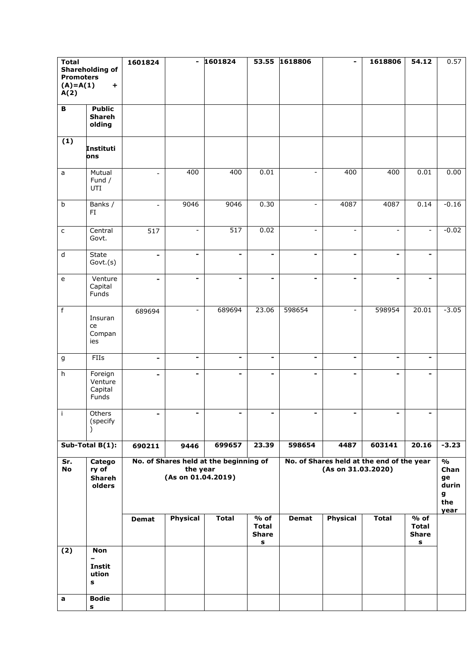| <b>Total</b>                      |                         | 1601824                  | $\overline{\phantom{a}}$       | 1601824                                |                         | 53.55 1618806                | $\overline{\phantom{a}}$ | 1618806                                   | 54.12                    | 0.57          |
|-----------------------------------|-------------------------|--------------------------|--------------------------------|----------------------------------------|-------------------------|------------------------------|--------------------------|-------------------------------------------|--------------------------|---------------|
| <b>Promoters</b>                  | Shareholding of         |                          |                                |                                        |                         |                              |                          |                                           |                          |               |
| $(A)=A(1)$                        | +                       |                          |                                |                                        |                         |                              |                          |                                           |                          |               |
| A(2)                              |                         |                          |                                |                                        |                         |                              |                          |                                           |                          |               |
| $\, {\bf B}$                      | <b>Public</b>           |                          |                                |                                        |                         |                              |                          |                                           |                          |               |
|                                   | <b>Shareh</b>           |                          |                                |                                        |                         |                              |                          |                                           |                          |               |
|                                   | olding                  |                          |                                |                                        |                         |                              |                          |                                           |                          |               |
|                                   |                         |                          |                                |                                        |                         |                              |                          |                                           |                          |               |
| (1)                               | <b>Instituti</b>        |                          |                                |                                        |                         |                              |                          |                                           |                          |               |
|                                   | ons                     |                          |                                |                                        |                         |                              |                          |                                           |                          |               |
| $\mathsf a$                       | Mutual                  | $\blacksquare$           | 400                            | 400                                    | 0.01                    | $\overline{\phantom{a}}$     | 400                      | 400                                       | 0.01                     | 0.00          |
|                                   | Fund /                  |                          |                                |                                        |                         |                              |                          |                                           |                          |               |
|                                   | UTI                     |                          |                                |                                        |                         |                              |                          |                                           |                          |               |
| $\sf b$                           | Banks /                 | $\blacksquare$           | 9046                           | 9046                                   | 0.30                    | $\overline{\phantom{a}}$     | 4087                     | 4087                                      | 0.14                     | $-0.16$       |
|                                   | FI                      |                          |                                |                                        |                         |                              |                          |                                           |                          |               |
|                                   |                         |                          |                                |                                        |                         |                              |                          |                                           |                          |               |
| $\mathsf{C}$                      | Central                 | 517                      | $\blacksquare$                 | 517                                    | 0.02                    | $\overline{\phantom{a}}$     | $\blacksquare$           | $\overline{\phantom{a}}$                  | $\blacksquare$           | $-0.02$       |
|                                   | Govt.                   |                          |                                |                                        |                         |                              |                          |                                           |                          |               |
| $\mathsf{d}$                      | State                   | $\overline{\phantom{a}}$ | $\overline{\phantom{a}}$       | $\qquad \qquad \blacksquare$           |                         | $\overline{\phantom{0}}$     | $\overline{\phantom{a}}$ | $\overline{\phantom{a}}$                  | $\overline{\phantom{a}}$ |               |
|                                   | Govt.(s)                |                          |                                |                                        |                         |                              |                          |                                           |                          |               |
| $\mathsf{e}% _{t}\left( t\right)$ | Venture                 | $\overline{\phantom{0}}$ | $\blacksquare$                 | $\overline{\phantom{a}}$               | -                       | $\overline{\phantom{a}}$     | $\blacksquare$           | $\blacksquare$                            | $\overline{\phantom{a}}$ |               |
|                                   | Capital                 |                          |                                |                                        |                         |                              |                          |                                           |                          |               |
|                                   | Funds                   |                          |                                |                                        |                         |                              |                          |                                           |                          |               |
| $\overline{f}$                    |                         | 689694                   | $\overline{\phantom{a}}$       | 689694                                 | 23.06                   | 598654                       | $\sim$                   | 598954                                    | 20.01                    | $-3.05$       |
|                                   | Insuran                 |                          |                                |                                        |                         |                              |                          |                                           |                          |               |
|                                   | ce                      |                          |                                |                                        |                         |                              |                          |                                           |                          |               |
|                                   | Compan<br>ies           |                          |                                |                                        |                         |                              |                          |                                           |                          |               |
|                                   |                         |                          |                                |                                        |                         |                              |                          |                                           |                          |               |
| $\mathsf g$                       | FIIs                    | $\overline{\phantom{a}}$ | $\blacksquare$                 | $\overline{\phantom{0}}$               | $\blacksquare$          | $\overline{\phantom{a}}$     | $\blacksquare$           | $\overline{\phantom{a}}$                  | $\blacksquare$           |               |
| h                                 | Foreign                 | $\blacksquare$           | $\overline{\phantom{a}}$       | $\overline{\phantom{0}}$               | -                       | $\qquad \qquad \blacksquare$ | $\blacksquare$           | $\blacksquare$                            | $\blacksquare$           |               |
|                                   | Venture                 |                          |                                |                                        |                         |                              |                          |                                           |                          |               |
|                                   | Capital<br>Funds        |                          |                                |                                        |                         |                              |                          |                                           |                          |               |
|                                   |                         |                          |                                |                                        |                         |                              |                          |                                           |                          |               |
| $\mathbf{i}$                      | Others                  |                          |                                |                                        |                         |                              |                          |                                           |                          |               |
|                                   | (specify                |                          |                                |                                        |                         |                              |                          |                                           |                          |               |
|                                   |                         |                          |                                |                                        |                         |                              |                          |                                           |                          |               |
|                                   | Sub-Total $B(1)$ :      | 690211                   | 9446                           | 699657                                 | 23.39                   | 598654                       | 4487                     | 603141                                    | 20.16                    | $-3.23$       |
| Sr.                               | Catego                  |                          |                                | No. of Shares held at the beginning of |                         |                              |                          | No. of Shares held at the end of the year |                          | $\frac{1}{2}$ |
| <b>No</b>                         | ry of                   |                          | the year<br>(As on 01.04.2019) |                                        |                         |                              | (As on 31.03.2020)       |                                           |                          | Chan          |
|                                   | <b>Shareh</b><br>olders |                          |                                |                                        |                         |                              |                          |                                           |                          | ge<br>durin   |
|                                   |                         |                          |                                |                                        |                         |                              |                          |                                           |                          | g             |
|                                   |                         |                          |                                |                                        |                         |                              |                          |                                           |                          | the           |
|                                   |                         | <b>Demat</b>             | Physical                       | <b>Total</b>                           | $\frac{1}{\sqrt{6}}$ of | <b>Demat</b>                 | <b>Physical</b>          | <b>Total</b>                              | $%$ of                   | year          |
|                                   |                         |                          |                                |                                        | <b>Total</b>            |                              |                          |                                           | <b>Total</b>             |               |
|                                   |                         |                          |                                |                                        | <b>Share</b>            |                              |                          |                                           | <b>Share</b>             |               |
| $\overline{(2)}$                  | <b>Non</b>              |                          |                                |                                        | $\mathbf s$             |                              |                          |                                           | s                        |               |
|                                   | $\qquad \qquad -$       |                          |                                |                                        |                         |                              |                          |                                           |                          |               |
|                                   | Instit                  |                          |                                |                                        |                         |                              |                          |                                           |                          |               |
|                                   | ution<br>s              |                          |                                |                                        |                         |                              |                          |                                           |                          |               |
|                                   |                         |                          |                                |                                        |                         |                              |                          |                                           |                          |               |
| a                                 | <b>Bodie</b>            |                          |                                |                                        |                         |                              |                          |                                           |                          |               |
|                                   | s                       |                          |                                |                                        |                         |                              |                          |                                           |                          |               |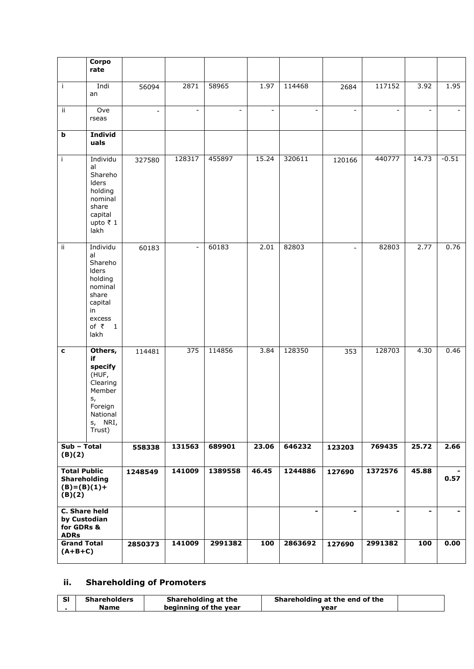|                                                                | Corpo<br>rate                                                                                                               |                          |                          |                          |                          |                          |                          |                          |                          |         |
|----------------------------------------------------------------|-----------------------------------------------------------------------------------------------------------------------------|--------------------------|--------------------------|--------------------------|--------------------------|--------------------------|--------------------------|--------------------------|--------------------------|---------|
| $\mathbf{i}$                                                   | Indi<br>an                                                                                                                  | 56094                    | 2871                     | 58965                    | 1.97                     | 114468                   | 2684                     | 117152                   | 3.92                     | 1.95    |
| ii.                                                            | Ove<br>rseas                                                                                                                | $\overline{\phantom{a}}$ | $\blacksquare$           | $\overline{\phantom{a}}$ | $\overline{\phantom{a}}$ | $\overline{\phantom{a}}$ | $\overline{\phantom{a}}$ | $\blacksquare$           | $\overline{\phantom{a}}$ | $\sim$  |
| b                                                              | <b>Individ</b><br>uals                                                                                                      |                          |                          |                          |                          |                          |                          |                          |                          |         |
| j.                                                             | Individu<br>al<br>Shareho<br>Iders<br>holding<br>nominal<br>share<br>capital<br>upto ₹1<br>lakh                             | 327580                   | 128317                   | 455897                   | 15.24                    | 320611                   | 120166                   | 440777                   | 14.73                    | $-0.51$ |
| $\overline{\mathbf{ii}}$                                       | Individu<br>al<br>Shareho<br>Iders<br>holding<br>nominal<br>share<br>capital<br>in<br>excess<br>of $\overline{z}$ 1<br>lakh | 60183                    | $\overline{\phantom{a}}$ | 60183                    | 2.01                     | 82803                    | $\overline{\phantom{a}}$ | 82803                    | 2.77                     | 0.76    |
| $\mathbf c$                                                    | Others,<br>if<br>specify<br>(HUF,<br>Clearing<br>Member<br>s,<br>Foreign<br>National<br>s, NRI,<br>Trust)                   | 114481                   | 375                      | 114856                   | 3.84                     | 128350                   | 353                      | 128703                   | 4.30                     | 0.46    |
| Sub - Total<br>(B)(2)                                          |                                                                                                                             | 558338                   | 131563                   | 689901                   | 23.06                    | 646232                   | 123203                   | 769435                   | 25.72                    | 2.66    |
| <b>Total Public</b><br>Shareholding<br>$(B)=(B)(1)+$<br>(B)(2) |                                                                                                                             | 1248549                  | 141009                   | 1389558                  | 46.45                    | 1244886                  | 127690                   | 1372576                  | 45.88                    | 0.57    |
| C. Share held<br>by Custodian<br>for GDRs &<br><b>ADRs</b>     |                                                                                                                             |                          |                          |                          |                          | $\blacksquare$           | $\blacksquare$           | $\overline{\phantom{0}}$ | ۰.                       |         |
| <b>Grand Total</b><br>$(A+B+C)$                                |                                                                                                                             | 2850373                  | 141009                   | 2991382                  | 100                      | 2863692                  | 127690                   | 2991382                  | 100                      | 0.00    |

# **ii. Shareholding of Promoters**

| <b>Shareholders</b> | Shareholding at the   | Shareholding at the end of the |  |
|---------------------|-----------------------|--------------------------------|--|
| Name                | beginning of the year | vear                           |  |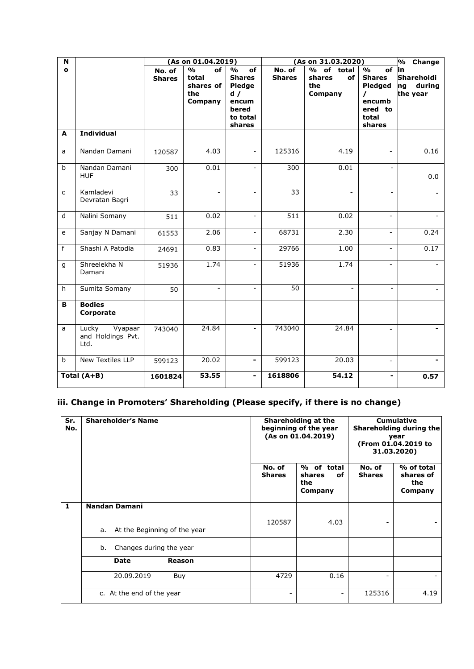| N            |                                               |                         | (As on 01.04.2019)                                          |                                                                                               | (As on 31.03.2020)      |                                                                |                                                                                                     | % Change                                     |
|--------------|-----------------------------------------------|-------------------------|-------------------------------------------------------------|-----------------------------------------------------------------------------------------------|-------------------------|----------------------------------------------------------------|-----------------------------------------------------------------------------------------------------|----------------------------------------------|
| $\mathbf{o}$ |                                               | No. of<br><b>Shares</b> | $\frac{0}{0}$<br>of<br>total<br>shares of<br>the<br>Company | $\frac{0}{0}$<br>of<br><b>Shares</b><br>Pledge<br>d /<br>encum<br>bered<br>to total<br>shares | No. of<br><b>Shares</b> | of<br>$\frac{1}{2}$<br>total<br>of<br>shares<br>the<br>Company | $\frac{0}{0}$<br>of<br><b>Shares</b><br>Pledged<br>$\prime$<br>encumb<br>ered to<br>total<br>shares | in<br>Shareholdi<br>during<br>ng<br>the year |
| A            | <b>Individual</b>                             |                         |                                                             |                                                                                               |                         |                                                                |                                                                                                     |                                              |
| a            | Nandan Damani                                 | 120587                  | 4.03                                                        | $\equiv$                                                                                      | 125316                  | 4.19                                                           | $\overline{\phantom{a}}$                                                                            | 0.16                                         |
| $\mathbf b$  | Nandan Damani<br><b>HUF</b>                   | 300                     | 0.01                                                        | $\overline{\phantom{a}}$                                                                      | 300                     | 0.01                                                           | $\overline{a}$                                                                                      | 0.0                                          |
| C            | Kamladevi<br>Devratan Bagri                   | 33                      | $\overline{\phantom{a}}$                                    | $\overline{a}$                                                                                | 33                      | $\overline{a}$                                                 | ÷,                                                                                                  |                                              |
| d            | Nalini Somany                                 | 511                     | 0.02                                                        | $\overline{\phantom{a}}$                                                                      | 511                     | 0.02                                                           | $\overline{\phantom{a}}$                                                                            |                                              |
| e            | Sanjay N Damani                               | 61553                   | 2.06                                                        | $\equiv$                                                                                      | 68731                   | 2.30                                                           | $\blacksquare$                                                                                      | 0.24                                         |
| f            | Shashi A Patodia                              | 24691                   | 0.83                                                        | $\overline{\phantom{a}}$                                                                      | 29766                   | 1.00                                                           | $\overline{\phantom{a}}$                                                                            | 0.17                                         |
| g            | Shreelekha N<br>Damani                        | 51936                   | 1.74                                                        | $\overline{\phantom{0}}$                                                                      | 51936                   | 1.74                                                           | $\blacksquare$                                                                                      |                                              |
| h.           | Sumita Somany                                 | 50                      | $\blacksquare$                                              | $\overline{\phantom{a}}$                                                                      | 50                      | ÷                                                              | $\blacksquare$                                                                                      |                                              |
| B            | <b>Bodies</b><br>Corporate                    |                         |                                                             |                                                                                               |                         |                                                                |                                                                                                     |                                              |
| a            | Lucky<br>Vyapaar<br>and Holdings Pvt.<br>Ltd. | 743040                  | 24.84                                                       | $\overline{\phantom{a}}$                                                                      | 743040                  | 24.84                                                          | $\overline{\phantom{0}}$                                                                            |                                              |
| b            | <b>New Textiles LLP</b>                       | 599123                  | 20.02                                                       | ۰                                                                                             | 599123                  | 20.03                                                          | $\blacksquare$                                                                                      |                                              |
|              | Total $(A+B)$                                 | 1601824                 | 53.55                                                       | -                                                                                             | 1618806                 | 54.12                                                          | -                                                                                                   | 0.57                                         |

# **iii. Change in Promoters' Shareholding (Please specify, if there is no change)**

| Sr.<br>No.   | <b>Shareholder's Name</b>          |                          | Shareholding at the<br>beginning of the year<br>(As on 01.04.2019) | <b>Cumulative</b><br>Shareholding during the<br>year<br>(From 01.04.2019 to<br>31.03.2020) |                                           |  |
|--------------|------------------------------------|--------------------------|--------------------------------------------------------------------|--------------------------------------------------------------------------------------------|-------------------------------------------|--|
|              |                                    | No. of<br><b>Shares</b>  | % of total<br>shares<br>of<br>the<br>Company                       | No. of<br><b>Shares</b>                                                                    | % of total<br>shares of<br>the<br>Company |  |
| $\mathbf{1}$ | Nandan Damani                      |                          |                                                                    |                                                                                            |                                           |  |
|              | At the Beginning of the year<br>a. | 120587                   | 4.03                                                               | $\qquad \qquad -$                                                                          |                                           |  |
|              | Changes during the year<br>b.      |                          |                                                                    |                                                                                            |                                           |  |
|              | <b>Date</b><br>Reason              |                          |                                                                    |                                                                                            |                                           |  |
|              | 20.09.2019<br>Buy                  | 4729                     | 0.16                                                               | ۰                                                                                          |                                           |  |
|              | c. At the end of the year          | $\overline{\phantom{a}}$ | -                                                                  | 125316                                                                                     | 4.19                                      |  |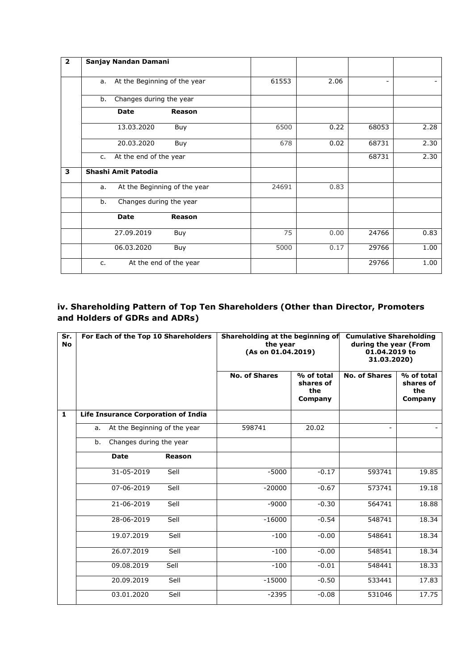| $\overline{\mathbf{2}}$ | Sanjay Nandan Damani               |       |      |                              |      |
|-------------------------|------------------------------------|-------|------|------------------------------|------|
|                         | At the Beginning of the year<br>a. | 61553 | 2.06 | $\qquad \qquad \blacksquare$ |      |
|                         | Changes during the year<br>b.      |       |      |                              |      |
|                         | <b>Date</b><br>Reason              |       |      |                              |      |
|                         | 13.03.2020<br>Buy                  | 6500  | 0.22 | 68053                        | 2.28 |
|                         | 20.03.2020<br>Buy                  | 678   | 0.02 | 68731                        | 2.30 |
|                         | At the end of the year<br>$C_{1}$  |       |      | 68731                        | 2.30 |
| 3                       | Shashi Amit Patodia                |       |      |                              |      |
|                         | At the Beginning of the year<br>a. | 24691 | 0.83 |                              |      |
|                         | Changes during the year<br>b.      |       |      |                              |      |
|                         | <b>Date</b><br>Reason              |       |      |                              |      |
|                         | 27.09.2019<br>Buy                  | 75    | 0.00 | 24766                        | 0.83 |
|                         | 06.03.2020<br>Buy                  | 5000  | 0.17 | 29766                        | 1.00 |
|                         | At the end of the year<br>$C_{1}$  |       |      | 29766                        | 1.00 |

# **iv. Shareholding Pattern of Top Ten Shareholders (Other than Director, Promoters and Holders of GDRs and ADRs)**

| Sr.<br><b>No</b> | For Each of the Top 10 Shareholders        |        | Shareholding at the beginning of<br>the year<br>(As on 01.04.2019) |                                           | <b>Cumulative Shareholding</b><br>during the year (From<br>01.04.2019 to<br>31.03.2020) |                                           |
|------------------|--------------------------------------------|--------|--------------------------------------------------------------------|-------------------------------------------|-----------------------------------------------------------------------------------------|-------------------------------------------|
|                  |                                            |        | <b>No. of Shares</b>                                               | % of total<br>shares of<br>the<br>Company | <b>No. of Shares</b>                                                                    | % of total<br>shares of<br>the<br>Company |
| $\mathbf{1}$     | <b>Life Insurance Corporation of India</b> |        |                                                                    |                                           |                                                                                         |                                           |
|                  | At the Beginning of the year<br>a.         |        | 598741                                                             | 20.02                                     |                                                                                         |                                           |
|                  | Changes during the year<br>b.              |        |                                                                    |                                           |                                                                                         |                                           |
|                  | <b>Date</b>                                | Reason |                                                                    |                                           |                                                                                         |                                           |
|                  | 31-05-2019                                 | Sell   | $-5000$                                                            | $-0.17$                                   | 593741                                                                                  | 19.85                                     |
|                  | 07-06-2019                                 | Sell   | $-20000$                                                           | $-0.67$                                   | 573741                                                                                  | 19.18                                     |
|                  | 21-06-2019                                 | Sell   | $-9000$                                                            | $-0.30$                                   | 564741                                                                                  | 18.88                                     |
|                  | 28-06-2019                                 | Sell   | $-16000$                                                           | $-0.54$                                   | 548741                                                                                  | 18.34                                     |
|                  | 19.07.2019                                 | Sell   | $-100$                                                             | $-0.00$                                   | 548641                                                                                  | 18.34                                     |
|                  | 26.07.2019                                 | Sell   | $-100$                                                             | $-0.00$                                   | 548541                                                                                  | 18.34                                     |
|                  | 09.08.2019                                 | Sell   | $-100$                                                             | $-0.01$                                   | 548441                                                                                  | 18.33                                     |
|                  | 20.09.2019                                 | Sell   | $-15000$                                                           | $-0.50$                                   | 533441                                                                                  | 17.83                                     |
|                  | 03.01.2020                                 | Sell   | $-2395$                                                            | $-0.08$                                   | 531046                                                                                  | 17.75                                     |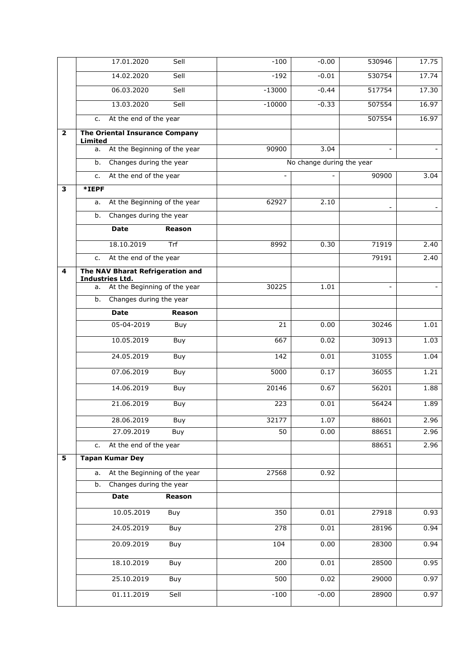|                         | 17.01.2020                                                 | Sell                         | $-100$                   | $-0.00$                   | 530946 | 17.75 |
|-------------------------|------------------------------------------------------------|------------------------------|--------------------------|---------------------------|--------|-------|
|                         | 14.02.2020                                                 | Sell                         | $-192$                   | $-0.01$                   | 530754 | 17.74 |
|                         | 06.03.2020                                                 | Sell                         | $-13000$                 | $-0.44$                   | 517754 | 17.30 |
|                         | 13.03.2020                                                 | Sell                         | $-10000$                 | $-0.33$                   | 507554 | 16.97 |
|                         | At the end of the year<br>c.                               |                              |                          |                           | 507554 | 16.97 |
| $\overline{\mathbf{2}}$ | The Oriental Insurance Company<br><b>Limited</b>           |                              |                          |                           |        |       |
|                         | At the Beginning of the year<br>а.                         |                              | 90900                    | 3.04                      | $\sim$ |       |
|                         | Changes during the year<br>b.                              |                              |                          | No change during the year |        |       |
|                         | At the end of the year<br>c.                               |                              | $\overline{\phantom{a}}$ |                           | 90900  | 3.04  |
| 3                       | *IEPF                                                      |                              |                          |                           |        |       |
|                         | At the Beginning of the year<br>a.                         |                              | 62927                    | 2.10                      |        |       |
|                         | Changes during the year<br>b.                              |                              |                          |                           |        |       |
|                         | <b>Date</b>                                                | Reason                       |                          |                           |        |       |
|                         | 18.10.2019                                                 | Trf                          | 8992                     | 0.30                      | 71919  | 2.40  |
|                         | At the end of the year<br>c.                               |                              |                          |                           | 79191  | 2.40  |
| 4                       | The NAV Bharat Refrigeration and<br><b>Industries Ltd.</b> |                              |                          |                           |        |       |
|                         | At the Beginning of the year<br>а.                         |                              | 30225                    | 1.01                      | $\sim$ |       |
|                         | Changes during the year<br>b.                              |                              |                          |                           |        |       |
|                         | <b>Date</b>                                                | Reason                       |                          |                           |        |       |
|                         | 05-04-2019                                                 | Buy                          | 21                       | 0.00                      | 30246  | 1.01  |
|                         | 10.05.2019                                                 | Buy                          | 667                      | 0.02                      | 30913  | 1.03  |
|                         | 24.05.2019                                                 | Buy                          | 142                      | 0.01                      | 31055  | 1.04  |
|                         | 07.06.2019                                                 | Buy                          | 5000                     | 0.17                      | 36055  | 1.21  |
|                         | 14.06.2019                                                 | Buy                          | 20146                    | 0.67                      | 56201  | 1.88  |
|                         | 21.06.2019                                                 | Buy                          | 223                      | 0.01                      | 56424  | 1.89  |
|                         | 28.06.2019                                                 | Buy                          | 32177                    | 1.07                      | 88601  | 2.96  |
|                         | 27.09.2019                                                 | Buy                          | 50                       | 0.00                      | 88651  | 2.96  |
|                         | At the end of the year<br>c.                               |                              |                          |                           | 88651  | 2.96  |
| $\overline{\mathbf{5}}$ | <b>Tapan Kumar Dey</b>                                     |                              |                          |                           |        |       |
|                         | a.                                                         | At the Beginning of the year | 27568                    | 0.92                      |        |       |
|                         | Changes during the year<br>b.                              |                              |                          |                           |        |       |
|                         | <b>Date</b>                                                | Reason                       |                          |                           |        |       |
|                         | 10.05.2019                                                 | Buy                          | 350                      | $\overline{0.01}$         | 27918  | 0.93  |
|                         | 24.05.2019                                                 | Buy                          | 278                      | 0.01                      | 28196  | 0.94  |
|                         | 20.09.2019                                                 | Buy                          | 104                      | 0.00                      | 28300  | 0.94  |
|                         | 18.10.2019                                                 | Buy                          | 200                      | 0.01                      | 28500  | 0.95  |
|                         | 25.10.2019                                                 | Buy                          | 500                      | 0.02                      | 29000  | 0.97  |
|                         | 01.11.2019                                                 | Sell                         | $-100$                   | $-0.00$                   | 28900  | 0.97  |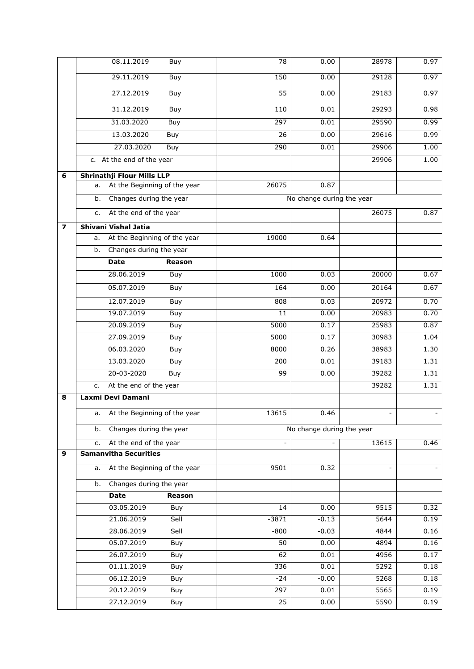|                          | 08.11.2019<br>Buy                  | 78              | 0.00                      | 28978 | 0.97 |
|--------------------------|------------------------------------|-----------------|---------------------------|-------|------|
|                          | 29.11.2019<br>Buy                  | 150             | 0.00                      | 29128 | 0.97 |
|                          | 27.12.2019<br>Buy                  | 55              | 0.00                      | 29183 | 0.97 |
|                          | 31.12.2019<br>Buy                  | 110             | 0.01                      | 29293 | 0.98 |
|                          | 31.03.2020<br>Buy                  | 297             | 0.01                      | 29590 | 0.99 |
|                          | 13.03.2020<br>Buy                  | 26              | 0.00                      | 29616 | 0.99 |
|                          | 27.03.2020<br>Buy                  | 290             | 0.01                      | 29906 | 1.00 |
|                          | c. At the end of the year          |                 |                           | 29906 | 1.00 |
| 6                        | <b>Shrinathji Flour Mills LLP</b>  |                 |                           |       |      |
|                          | At the Beginning of the year<br>a. | 26075           | 0.87                      |       |      |
|                          | Changes during the year<br>b.      |                 | No change during the year |       |      |
|                          | At the end of the year<br>c.       |                 |                           | 26075 | 0.87 |
| $\overline{\phantom{a}}$ | Shivani Vishal Jatia               |                 |                           |       |      |
|                          | At the Beginning of the year<br>a. | 19000           | 0.64                      |       |      |
|                          | Changes during the year<br>b.      |                 |                           |       |      |
|                          | <b>Date</b><br><b>Reason</b>       |                 |                           |       |      |
|                          | 28.06.2019<br>Buy                  | 1000            | 0.03                      | 20000 | 0.67 |
|                          | 05.07.2019<br>Buy                  | 164             | 0.00                      | 20164 | 0.67 |
|                          | 12.07.2019<br>Buy                  | 808             | 0.03                      | 20972 | 0.70 |
|                          | 19.07.2019<br>Buy                  | 11              | 0.00                      | 20983 | 0.70 |
|                          | 20.09.2019<br>Buy                  | 5000            | 0.17                      | 25983 | 0.87 |
|                          | 27.09.2019<br>Buy                  | 5000            | 0.17                      | 30983 | 1.04 |
|                          | 06.03.2020<br>Buy                  | 8000            | 0.26                      | 38983 | 1.30 |
|                          | 13.03.2020<br>Buy                  | 200             | 0.01                      | 39183 | 1.31 |
|                          | 20-03-2020<br>Buy                  | 99              | 0.00                      | 39282 | 1.31 |
|                          | At the end of the year<br>c.       |                 |                           | 39282 | 1.31 |
| 8                        | Laxmi Devi Damani                  |                 |                           |       |      |
|                          | At the Beginning of the year       | 13615           | 0.46                      |       |      |
|                          | Changes during the year<br>b.      |                 | No change during the year |       |      |
|                          | At the end of the year<br>c.       | $\Box$          |                           | 13615 | 0.46 |
| 9                        | <b>Samanvitha Securities</b>       |                 |                           |       |      |
|                          | At the Beginning of the year<br>a. | 9501            | 0.32                      |       |      |
|                          | Changes during the year<br>b.      |                 |                           |       |      |
|                          | Date<br>Reason                     |                 |                           |       |      |
|                          | 03.05.2019<br>Buy                  | 14              | 0.00                      | 9515  | 0.32 |
|                          | 21.06.2019<br>Sell                 | $-3871$         | $-0.13$                   | 5644  | 0.19 |
|                          | 28.06.2019<br>Sell                 | $-800$          | $-0.03$                   | 4844  | 0.16 |
|                          | 05.07.2019<br>Buy                  | 50              | 0.00                      | 4894  | 0.16 |
|                          | 26.07.2019<br>Buy                  | 62              | 0.01                      | 4956  | 0.17 |
|                          | 01.11.2019<br>Buy                  | 336             | 0.01                      | 5292  | 0.18 |
|                          | 06.12.2019<br>Buy                  | $-24$           | $-0.00$                   | 5268  | 0.18 |
|                          | 20.12.2019<br>Buy                  | 297             | 0.01                      | 5565  | 0.19 |
|                          | 27.12.2019<br>Buy                  | $\overline{25}$ | 0.00                      | 5590  | 0.19 |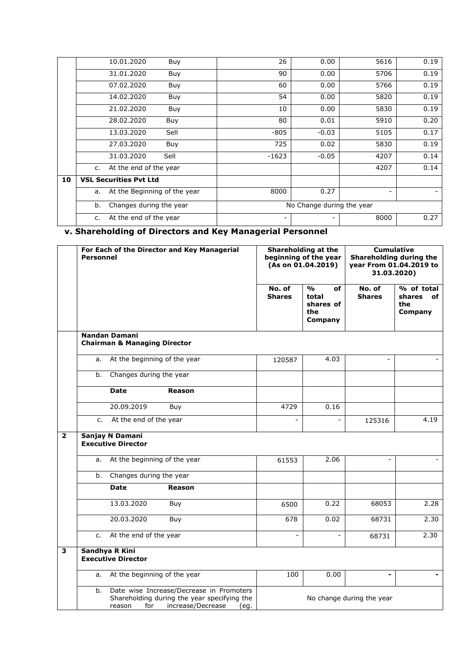|    | 10.01.2020<br>Buy                  | 26      | 0.00                      | 5616 | 0.19 |
|----|------------------------------------|---------|---------------------------|------|------|
|    | 31.01.2020<br>Buy                  | 90      | 0.00                      | 5706 | 0.19 |
|    | 07.02.2020<br>Buy                  | 60      | 0.00                      | 5766 | 0.19 |
|    | 14.02.2020<br>Buy                  | 54      | 0.00                      | 5820 | 0.19 |
|    | 21.02.2020<br>Buy                  | 10      | 0.00                      | 5830 | 0.19 |
|    | 28.02.2020<br>Buy                  | 80      | 0.01                      | 5910 | 0.20 |
|    | 13.03.2020<br>Sell                 | $-805$  | $-0.03$                   | 5105 | 0.17 |
|    | 27.03.2020<br>Buy                  | 725     | 0.02                      | 5830 | 0.19 |
|    | 31.03.2020<br>Sell                 | $-1623$ | $-0.05$                   | 4207 | 0.14 |
|    | At the end of the year<br>c.       |         |                           | 4207 | 0.14 |
| 10 | <b>VSL Securities Pvt Ltd</b>      |         |                           |      |      |
|    | At the Beginning of the year<br>а. | 8000    | 0.27                      | -    |      |
|    | Changes during the year<br>b.      |         | No Change during the year |      |      |
|    | At the end of the year<br>c.       | -       |                           | 8000 | 0.27 |

# **v. Shareholding of Directors and Key Managerial Personnel**

|                         | For Each of the Director and Key Managerial<br><b>Personnel</b> |                                                                 | Shareholding at the<br>beginning of the year<br>(As on 01.04.2019)                                                   |                           | <b>Cumulative</b><br>Shareholding during the<br>year From 01.04.2019 to<br>31.03.2020) |                         |                                              |
|-------------------------|-----------------------------------------------------------------|-----------------------------------------------------------------|----------------------------------------------------------------------------------------------------------------------|---------------------------|----------------------------------------------------------------------------------------|-------------------------|----------------------------------------------|
|                         |                                                                 |                                                                 |                                                                                                                      | No. of<br><b>Shares</b>   | O <sub>0</sub><br>of<br>total<br>shares of<br>the<br>Company                           | No. of<br><b>Shares</b> | % of total<br>shares<br>of<br>the<br>Company |
|                         |                                                                 | <b>Nandan Damani</b><br><b>Chairman &amp; Managing Director</b> |                                                                                                                      |                           |                                                                                        |                         |                                              |
|                         | a.                                                              | At the beginning of the year                                    |                                                                                                                      | 120587                    | 4.03                                                                                   | $\blacksquare$          |                                              |
|                         | b.                                                              | Changes during the year                                         |                                                                                                                      |                           |                                                                                        |                         |                                              |
|                         |                                                                 | <b>Date</b>                                                     | <b>Reason</b>                                                                                                        |                           |                                                                                        |                         |                                              |
|                         |                                                                 | 20.09.2019                                                      | Buy                                                                                                                  | 4729                      | 0.16                                                                                   |                         |                                              |
|                         | $C_{1}$                                                         | At the end of the year                                          |                                                                                                                      | $\overline{a}$            |                                                                                        | 125316                  | 4.19                                         |
| $\overline{\mathbf{2}}$ |                                                                 | Sanjay N Damani<br><b>Executive Director</b>                    |                                                                                                                      |                           |                                                                                        |                         |                                              |
|                         | a.                                                              | At the beginning of the year                                    |                                                                                                                      | 61553                     | 2.06                                                                                   | $\blacksquare$          |                                              |
|                         | b.                                                              | Changes during the year                                         |                                                                                                                      |                           |                                                                                        |                         |                                              |
|                         |                                                                 | <b>Date</b>                                                     | <b>Reason</b>                                                                                                        |                           |                                                                                        |                         |                                              |
|                         |                                                                 | 13.03.2020                                                      | Buy                                                                                                                  | 6500                      | 0.22                                                                                   | 68053                   | 2.28                                         |
|                         |                                                                 | 20.03.2020                                                      | Buy                                                                                                                  | 678                       | 0.02                                                                                   | 68731                   | 2.30                                         |
|                         | $C_{1}$                                                         | At the end of the year                                          |                                                                                                                      |                           | $\blacksquare$                                                                         | 68731                   | 2.30                                         |
| $\overline{\mathbf{3}}$ |                                                                 | Sandhya R Kini<br><b>Executive Director</b>                     |                                                                                                                      |                           |                                                                                        |                         |                                              |
|                         | а.                                                              | At the beginning of the year                                    |                                                                                                                      | 100                       | 0.00                                                                                   | $\blacksquare$          |                                              |
|                         | b.                                                              | for<br>reason                                                   | Date wise Increase/Decrease in Promoters<br>Shareholding during the year specifying the<br>increase/Decrease<br>(eq. | No change during the year |                                                                                        |                         |                                              |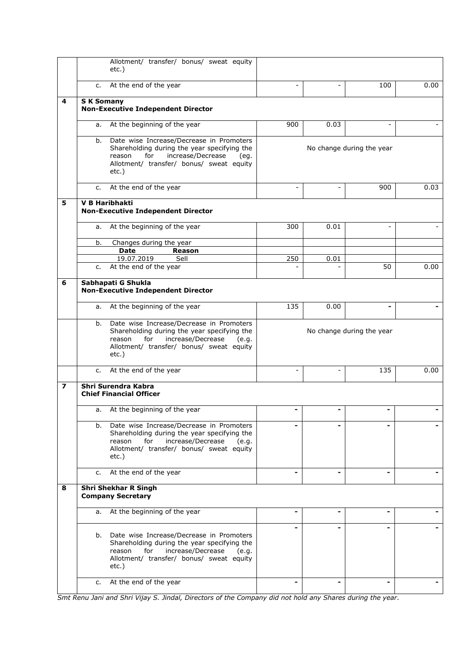|   | Allotment/ transfer/ bonus/ sweat equity<br>etc.)                                                                                                                                                    |                          |                           |                           |      |
|---|------------------------------------------------------------------------------------------------------------------------------------------------------------------------------------------------------|--------------------------|---------------------------|---------------------------|------|
|   | At the end of the year<br>c.                                                                                                                                                                         | $\overline{\phantom{a}}$ | $\overline{\phantom{0}}$  | 100                       | 0.00 |
| 4 | <b>SK Somany</b><br><b>Non-Executive Independent Director</b>                                                                                                                                        |                          |                           |                           |      |
|   | At the beginning of the year<br>a.                                                                                                                                                                   | 900                      | 0.03                      | $\overline{\phantom{a}}$  |      |
|   | Date wise Increase/Decrease in Promoters<br>b.<br>Shareholding during the year specifying the<br>increase/Decrease<br>reason<br>for<br>(eq.<br>Allotment/ transfer/ bonus/ sweat equity<br>etc.)     |                          |                           | No change during the year |      |
|   | At the end of the year<br>c.                                                                                                                                                                         | $\overline{\phantom{a}}$ |                           | 900                       | 0.03 |
| 5 | <b>V B Haribhakti</b><br><b>Non-Executive Independent Director</b>                                                                                                                                   |                          |                           |                           |      |
|   | At the beginning of the year<br>a.                                                                                                                                                                   | 300                      | 0.01                      |                           |      |
|   | Changes during the year<br>b.                                                                                                                                                                        |                          |                           |                           |      |
|   | <b>Date</b><br><b>Reason</b><br>19.07.2019<br>Sell                                                                                                                                                   | 250                      | 0.01                      |                           |      |
|   | At the end of the year<br>c.                                                                                                                                                                         |                          |                           | 50                        | 0.00 |
| 6 | Sabhapati G Shukla<br><b>Non-Executive Independent Director</b>                                                                                                                                      |                          |                           |                           |      |
|   | At the beginning of the year<br>a.                                                                                                                                                                   | 135                      | 0.00                      | $\blacksquare$            |      |
|   | Date wise Increase/Decrease in Promoters<br>b.<br>Shareholding during the year specifying the<br>increase/Decrease<br>reason<br>for<br>(e.q.<br>Allotment/ transfer/ bonus/ sweat equity<br>$etc.$ ) |                          | No change during the year |                           |      |
|   | At the end of the year<br>c.                                                                                                                                                                         | $\sim$                   | $\overline{\phantom{0}}$  | 135                       | 0.00 |
| 7 | Shri Surendra Kabra<br><b>Chief Financial Officer</b>                                                                                                                                                |                          |                           |                           |      |
|   | At the beginning of the year<br>а.                                                                                                                                                                   | -                        | -                         | -                         |      |
|   | Date wise Increase/Decrease in Promoters<br>b.<br>Shareholding during the year specifying the<br>increase/Decrease<br>for<br>reason<br>(e.q.<br>Allotment/ transfer/ bonus/ sweat equity<br>$etc.$ ) |                          |                           |                           |      |
|   | At the end of the year<br>c.                                                                                                                                                                         |                          |                           |                           |      |
| 8 | <b>Shri Shekhar R Singh</b><br><b>Company Secretary</b>                                                                                                                                              |                          |                           |                           |      |
|   | At the beginning of the year<br>a.                                                                                                                                                                   | $\blacksquare$           | ۰                         | $\blacksquare$            |      |
|   | Date wise Increase/Decrease in Promoters<br>b.<br>Shareholding during the year specifying the<br>increase/Decrease<br>reason<br>for<br>(e.q.<br>Allotment/ transfer/ bonus/ sweat equity<br>$etc.$ ) |                          |                           |                           |      |
|   | At the end of the year<br>c.                                                                                                                                                                         |                          |                           |                           |      |

*Smt Renu Jani and Shri Vijay S. Jindal, Directors of the Company did not hold any Shares during the year.*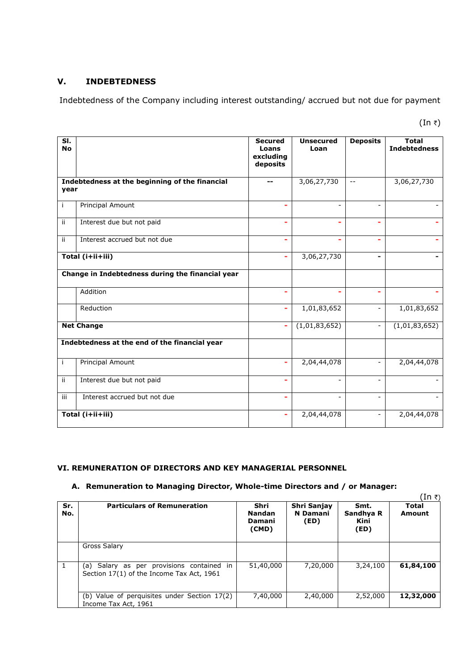# **V. INDEBTEDNESS**

Indebtedness of the Company including interest outstanding/ accrued but not due for payment

(In  $\bar{z}$ )

| SI.<br><b>No</b> |                                                  | <b>Secured</b><br>Loans<br>excluding<br>deposits | <b>Unsecured</b><br>Loan | <b>Deposits</b>          | <b>Total</b><br><b>Indebtedness</b> |
|------------------|--------------------------------------------------|--------------------------------------------------|--------------------------|--------------------------|-------------------------------------|
| year             | Indebtedness at the beginning of the financial   | --                                               | 3,06,27,730              | $\overline{\phantom{m}}$ | 3,06,27,730                         |
| j.               | Principal Amount                                 | ۰                                                |                          | $\overline{\phantom{a}}$ |                                     |
| ii.              | Interest due but not paid                        | ۳                                                |                          |                          |                                     |
| ii.              | Interest accrued but not due                     | ۳                                                |                          | L.                       |                                     |
| Total (i+ii+iii) |                                                  | ٠                                                | 3,06,27,730              | $\blacksquare$           |                                     |
|                  | Change in Indebtedness during the financial year |                                                  |                          |                          |                                     |
|                  | Addition                                         |                                                  |                          |                          |                                     |
|                  | Reduction                                        | ÷                                                | 1,01,83,652              | $\overline{\phantom{a}}$ | 1,01,83,652                         |
|                  | <b>Net Change</b>                                | ÷                                                | (1,01,83,652)            | $\overline{a}$           | (1,01,83,652)                       |
|                  | Indebtedness at the end of the financial year    |                                                  |                          |                          |                                     |
| Ť                | Principal Amount                                 | ۰                                                | 2,04,44,078              | $\overline{\phantom{a}}$ | 2,04,44,078                         |
| ii.              | Interest due but not paid                        | ۰                                                | $\overline{a}$           | ÷,                       |                                     |
| iii              | Interest accrued but not due                     | ÷                                                |                          | $\overline{a}$           |                                     |
|                  | Total (i+ii+iii)                                 | ٠                                                | 2,04,44,078              | $\overline{\phantom{a}}$ | 2,04,44,078                         |

#### **VI. REMUNERATION OF DIRECTORS AND KEY MANAGERIAL PERSONNEL**

#### **A. Remuneration to Managing Director, Whole-time Directors and / or Manager:**

|            |                                                                                        |                                          |                                        |                                   | (In ₹)                 |
|------------|----------------------------------------------------------------------------------------|------------------------------------------|----------------------------------------|-----------------------------------|------------------------|
| Sr.<br>No. | <b>Particulars of Remuneration</b>                                                     | Shri<br><b>Nandan</b><br>Damani<br>(CMD) | Shri Sanjay<br><b>N</b> Damani<br>(ED) | Smt.<br>Sandhya R<br>Kini<br>(ED) | Total<br><b>Amount</b> |
|            | Gross Salary                                                                           |                                          |                                        |                                   |                        |
| 1          | (a) Salary as per provisions contained in<br>Section 17(1) of the Income Tax Act, 1961 | 51,40,000                                | 7,20,000                               | 3,24,100                          | 61,84,100              |
|            | (b) Value of perquisites under Section 17(2)<br>Income Tax Act, 1961                   | 7,40,000                                 | 2,40,000                               | 2,52,000                          | 12,32,000              |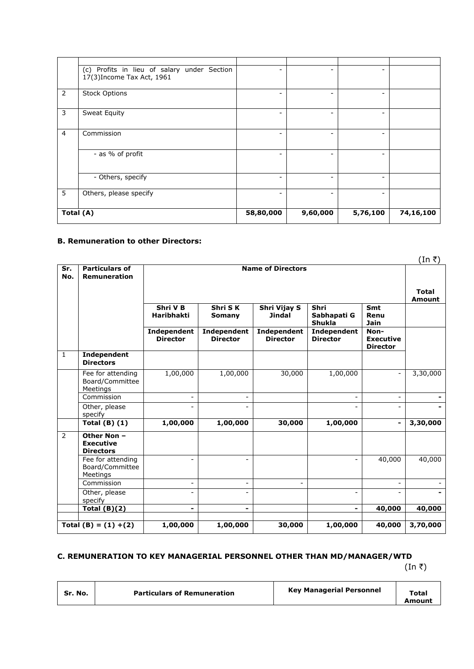|                | (c) Profits in lieu of salary under Section<br>17(3) Income Tax Act, 1961 |           |          |                          |           |
|----------------|---------------------------------------------------------------------------|-----------|----------|--------------------------|-----------|
| 2              | <b>Stock Options</b>                                                      | ۰         |          | $\overline{\phantom{a}}$ |           |
| 3              | Sweat Equity                                                              |           |          |                          |           |
| $\overline{4}$ | Commission                                                                |           |          |                          |           |
|                | - as % of profit                                                          |           |          |                          |           |
|                | - Others, specify                                                         |           |          |                          |           |
| 5              | Others, please specify                                                    |           |          |                          |           |
| Total (A)      |                                                                           | 58,80,000 | 9,60,000 | 5,76,100                 | 74,16,100 |

#### **B. Remuneration to other Directors:**

|              |                                                     |                                |                                |                                |                                      |                                             | (In ₹)   |  |
|--------------|-----------------------------------------------------|--------------------------------|--------------------------------|--------------------------------|--------------------------------------|---------------------------------------------|----------|--|
| Sr.<br>No.   | <b>Particulars of</b><br><b>Remuneration</b>        |                                |                                | <b>Name of Directors</b>       |                                      |                                             |          |  |
|              |                                                     |                                |                                |                                |                                      |                                             |          |  |
|              |                                                     | Shri V B<br><b>Haribhakti</b>  | Shri SK<br>Somany              | Shri Vijay S<br><b>Jindal</b>  | Shri<br>Sabhapati G<br><b>Shukla</b> | Smt<br>Renu<br>Jain                         |          |  |
|              |                                                     | Independent<br><b>Director</b> | Independent<br><b>Director</b> | Independent<br><b>Director</b> | Independent<br><b>Director</b>       | Non-<br><b>Executive</b><br><b>Director</b> |          |  |
| $\mathbf{1}$ | Independent<br><b>Directors</b>                     |                                |                                |                                |                                      |                                             |          |  |
|              | Fee for attending<br>Board/Committee<br>Meetings    | 1,00,000                       | 1,00,000                       | 30,000                         | 1,00,000                             |                                             | 3,30,000 |  |
|              | Commission                                          | $\overline{\phantom{0}}$       | $\overline{\phantom{0}}$       |                                |                                      |                                             |          |  |
|              | Other, please<br>specify                            | $\overline{a}$                 | $\overline{\phantom{a}}$       |                                | ÷                                    | $\overline{\phantom{a}}$                    |          |  |
|              | Total $(B)$ $(1)$                                   | 1,00,000                       | 1,00,000                       | 30,000                         | 1,00,000                             |                                             | 3,30,000 |  |
| 2            | Other Non -<br><b>Executive</b><br><b>Directors</b> |                                |                                |                                |                                      |                                             |          |  |
|              | Fee for attending<br>Board/Committee<br>Meetings    | ٠                              |                                |                                |                                      | 40,000                                      | 40,000   |  |
|              | Commission                                          | $\overline{a}$                 | $\overline{\phantom{a}}$       |                                |                                      |                                             |          |  |
|              | Other, please<br>specify                            | $\qquad \qquad \blacksquare$   |                                |                                | $\overline{\phantom{0}}$             |                                             |          |  |
|              | Total $(B)(2)$                                      | -                              | $\blacksquare$                 |                                | $\blacksquare$                       | 40,000                                      | 40,000   |  |
|              | Total $(B) = (1) + (2)$                             | 1,00,000                       | 1,00,000                       | 30,000                         | 1,00,000                             | 40,000                                      | 3,70,000 |  |

# **C. REMUNERATION TO KEY MANAGERIAL PERSONNEL OTHER THAN MD/MANAGER/WTD**

 $(\ln \bar{\tau})$ 

| Sr. No.<br><b>Particulars of Remuneration</b> | <b>Key Managerial Personnel</b><br>Total<br>Amount |
|-----------------------------------------------|----------------------------------------------------|
|-----------------------------------------------|----------------------------------------------------|